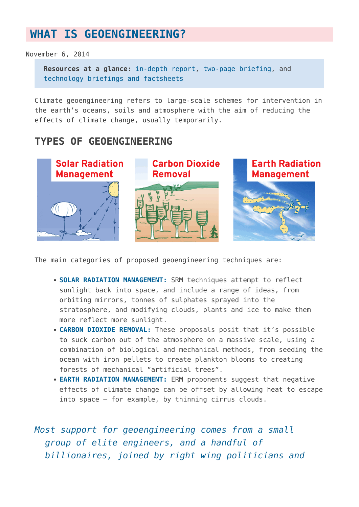## **[WHAT IS GEOENGINEERING?](https://www.geoengineeringmonitor.org/what-is-geoengineering/)**

November 6, 2014

**Resources at a glance:** [in-depth report](http://www.geoengineeringmonitor.org/2017/12/3087/), [two-page briefing,](http://etcgroup.org/content/civil-society-briefing-geoengineering) and [technology briefings and factsheets](http://www.geoengineeringmonitor.org/cat/briefings-and-factsheets/)

Climate geoengineering refers to large-scale schemes for intervention in the earth's oceans, soils and atmosphere with the aim of reducing the effects of climate change, usually temporarily.

## **TYPES OF GEOENGINEERING**



The main categories of proposed geoengineering techniques are:

- **SOLAR RADIATION MANAGEMENT:** SRM techniques attempt to reflect sunlight back into space, and include a range of ideas, from orbiting mirrors, tonnes of sulphates sprayed into the stratosphere, and modifying clouds, plants and ice to make them more reflect more sunlight.
- **CARBON DIOXIDE REMOVAL:** These proposals posit that it's possible to suck carbon out of the atmosphere on a massive scale, using a combination of biological and mechanical methods, from seeding the ocean with iron pellets to create plankton blooms to creating forests of mechanical "artificial trees".
- **EARTH RADIATION MANAGEMENT:** ERM proponents suggest that negative effects of climate change can be offset by allowing heat to escape into space – for example, by thinning cirrus clouds.

*Most support for geoengineering comes from a small group of elite engineers, and a handful of billionaires, joined by right wing politicians and*